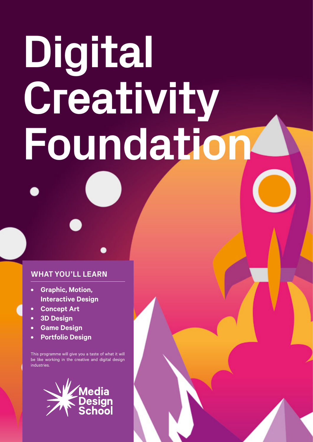# **Digital Creativity Foundation**

# **WHAT YOU'LL LEARN**

- **Graphic, Motion, Interactive Design •**
- **Concept Art •**
- **3D Design •**
- **Game Design •**
- **Portfolio Design •**

This programme will give you a taste of what it will be like working in the creative and digital design industries.

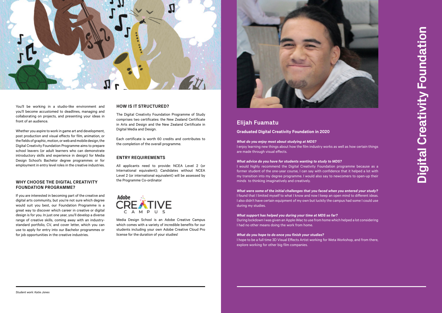# **Elijah Fuamatu**

### **Graduated Digital Creativity Foundation in 2020**

#### *What do you enjoy most about studying at MDS?*

I enjoy learning new things about how the film industry works as well as how certain things are made through visual effects.

*What advice do you have for students wanting to study to MDS?* I would highly recommend the Digital Creativity Foundation programme because as a former student of the one-year course, I can say with confidence that it helped a lot with my transition into my degree programme. I would also say to newcomers to open-up their minds to thinking imaginatively and creatively.

*What were some of the initial challenges that you faced when you entered your study?* I found that I limited myself to what I know and now I keep an open mind to different ideas. I also didn't have certain equipment of my own but luckily the campus had some I could use during my studies.

*What support has helped you during your time at MDS so far?* During lockdown I was given an Apple iMac to use from home which helped a lot considering I had no other means doing the work from home.

*What do you hope to do once you finish your studies?* I hope to be a full time 3D Visual Effects Artist working for Weta Workshop, and from there, explore working for other big film companies.

**Digital Creativity Foundation** Digital Creativity Foundatio



You'll be working in a studio-like environment and you'll become accustomed to deadlines, managing and collaborating on projects, and presenting your ideas in front of an audience.

Whether you aspire to work in game art and development, post production and visual effects for film, animation, or the fields of graphic, motion, or web and mobile design, the Digital Creativity Foundation Programme aims to prepare school leavers (or adult learners who can demonstrate introductory skills and experience in design) for Media Design School's Bachelor degree programmes or for employment in entry level roles in the creative industries.

> Media Design School is an Adobe Creative Campus which comes with a variety of incredible benefits for our students including your own Adobe Creative Cloud Pro license for the duration of your studies!



## **WHY CHOOSE THE DIGITAL CREATIVITY FOUNDATION PROGRAMME?**

If you are interested in becoming part of the creative and digital arts community, but you're not sure which degree would suit you best, our Foundation Programme is a great way to discover which career in creative or digital design is for you. In just one year, you'll develop a diverse range of creative skills, coming away with an industrystandard portfolio, CV, and cover letter, which you can use to apply for entry into our Bachelor programmes or for job opportunities in the creative industries.

# **HOW IS IT STRUCTURED?**

The Digital Creativity Foundation Programme of Study comprises two certificates: the New Zealand Certificate in Arts and Design and the New Zealand Certificate in Digital Media and Design.

Each certificate is worth 60 credits and contributes to the completion of the overall programme.

## **ENTRY REQUIREMENTS**

All applicants need to provide: NCEA Level 2 (or International equivalent); Candidates without NCEA Level 2 (or international equivalent) will be assessed by the Programme Co-ordinator